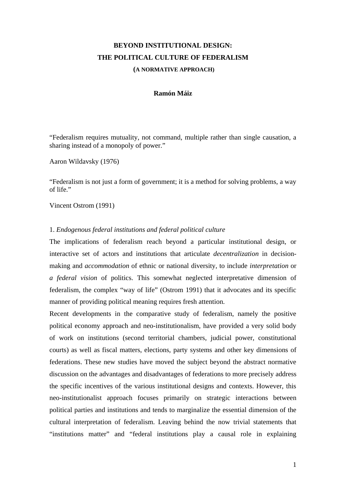# **BEYOND INSTITUTIONAL DESIGN: THE POLITICAL CULTURE OF FEDERALISM (A NORMATIVE APPROACH)**

## **Ramón Máiz**

"Federalism requires mutuality, not command, multiple rather than single causation, a sharing instead of a monopoly of power."

Aaron Wildavsky (1976)

"Federalism is not just a form of government; it is a method for solving problems, a way of life."

Vincent Ostrom (1991)

## 1. *Endogenous federal institutions and federal political culture*

The implications of federalism reach beyond a particular institutional design, or interactive set of actors and institutions that articulate *decentralization* in decisionmaking and *accommodation* of ethnic or national diversity, to include *interpretation* or *a federal vision* of politics. This somewhat neglected interpretative dimension of federalism, the complex "way of life" (Ostrom 1991) that it advocates and its specific manner of providing political meaning requires fresh attention.

Recent developments in the comparative study of federalism, namely the positive political economy approach and neo-institutionalism, have provided a very solid body of work on institutions (second territorial chambers, judicial power, constitutional courts) as well as fiscal matters, elections, party systems and other key dimensions of federations. These new studies have moved the subject beyond the abstract normative discussion on the advantages and disadvantages of federations to more precisely address the specific incentives of the various institutional designs and contexts. However, this neo-institutionalist approach focuses primarily on strategic interactions between political parties and institutions and tends to marginalize the essential dimension of the cultural interpretation of federalism. Leaving behind the now trivial statements that "institutions matter" and "federal institutions play a causal role in explaining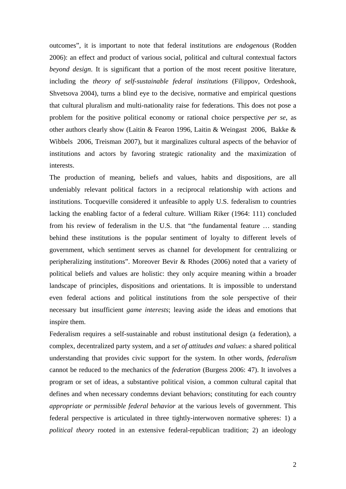outcomes", it is important to note that federal institutions are *endogenous* (Rodden 2006): an effect and product of various social, political and cultural contextual factors *beyond design*. It is significant that a portion of the most recent positive literature, including the *theory of self-sustainable federal institutions* (Filippov, Ordeshook, Shvetsova 2004), turns a blind eye to the decisive, normative and empirical questions that cultural pluralism and multi-nationality raise for federations. This does not pose a problem for the positive political economy or rational choice perspective *per se*, as other authors clearly show (Laitin & Fearon 1996, Laitin & Weingast 2006, Bakke & Wibbels 2006, Treisman 2007), but it marginalizes cultural aspects of the behavior of institutions and actors by favoring strategic rationality and the maximization of interests.

The production of meaning, beliefs and values, habits and dispositions, are all undeniably relevant political factors in a reciprocal relationship with actions and institutions. Tocqueville considered it unfeasible to apply U.S. federalism to countries lacking the enabling factor of a federal culture. William Riker (1964: 111) concluded from his review of federalism in the U.S. that "the fundamental feature … standing behind these institutions is the popular sentiment of loyalty to different levels of government, which sentiment serves as channel for development for centralizing or peripheralizing institutions". Moreover Bevir & Rhodes (2006) noted that a variety of political beliefs and values are holistic: they only acquire meaning within a broader landscape of principles, dispositions and orientations. It is impossible to understand even federal actions and political institutions from the sole perspective of their necessary but insufficient *game interests*; leaving aside the ideas and emotions that inspire them.

Federalism requires a self-sustainable and robust institutional design (a federation), a complex, decentralized party system, and a *set of attitudes and values*: a shared political understanding that provides civic support for the system. In other words, *federalism*  cannot be reduced to the mechanics of the *federation* (Burgess 2006: 47). It involves a program or set of ideas, a substantive political vision, a common cultural capital that defines and when necessary condemns deviant behaviors; constituting for each country *appropriate or permissible federal behavior* at the various levels of government. This federal perspective is articulated in three tightly-interwoven normative spheres: 1) a *political theory* rooted in an extensive federal-republican tradition; 2) an ideology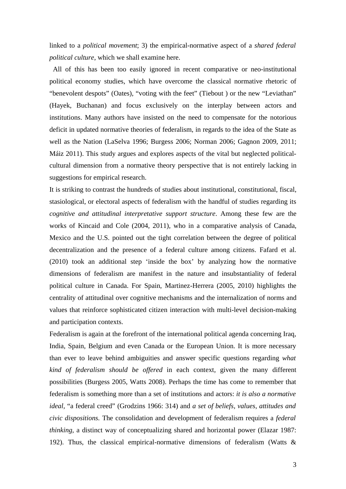linked to a *political movement*; 3) the empirical-normative aspect of a *shared federal political culture*, which we shall examine here.

All of this has been too easily ignored in recent comparative or neo-institutional political economy studies, which have overcome the classical normative rhetoric of "benevolent despots" (Oates), "voting with the feet" (Tiebout ) or the new "Leviathan" (Hayek, Buchanan) and focus exclusively on the interplay between actors and institutions. Many authors have insisted on the need to compensate for the notorious deficit in updated normative theories of federalism, in regards to the idea of the State as well as the Nation (LaSelva 1996; Burgess 2006; Norman 2006; Gagnon 2009, 2011; Máiz 2011). This study argues and explores aspects of the vital but neglected politicalcultural dimension from a normative theory perspective that is not entirely lacking in suggestions for empirical research.

It is striking to contrast the hundreds of studies about institutional, constitutional, fiscal, stasiological, or electoral aspects of federalism with the handful of studies regarding its *cognitive and attitudinal interpretative support structure*. Among these few are the works of Kincaid and Cole (2004, 2011), who in a comparative analysis of Canada, Mexico and the U.S. pointed out the tight correlation between the degree of political decentralization and the presence of a federal culture among citizens. Fafard et al. (2010) took an additional step 'inside the box' by analyzing how the normative dimensions of federalism are manifest in the nature and insubstantiality of federal political culture in Canada. For Spain, Martinez-Herrera (2005, 2010) highlights the centrality of attitudinal over cognitive mechanisms and the internalization of norms and values that reinforce sophisticated citizen interaction with multi-level decision-making and participation contexts.

Federalism is again at the forefront of the international political agenda concerning Iraq, India, Spain, Belgium and even Canada or the European Union. It is more necessary than ever to leave behind ambiguities and answer specific questions regarding *what kind of federalism should be offered* in each context, given the many different possibilities (Burgess 2005, Watts 2008). Perhaps the time has come to remember that federalism is something more than a set of institutions and actors: *it is also a normative ideal,* "a federal creed" (Grodzins 1966: 314) and *a set of beliefs, values, attitudes and civic dispositions.* The consolidation and development of federalism requires a *federal thinking*, a distinct way of conceptualizing shared and horizontal power (Elazar 1987: 192). Thus, the classical empirical-normative dimensions of federalism (Watts &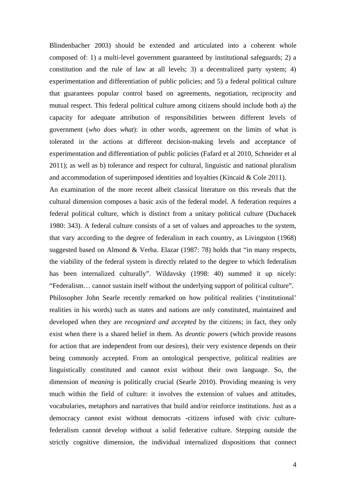Blindenbacher 2003) should be extended and articulated into a coherent whole composed of: 1) a multi-level government guaranteed by institutional safeguards; 2) a constitution and the rule of law at all levels; 3) a decentralized party system; 4) experimentation and differentiation of public policies; and 5) a federal political culture that guarantees popular control based on agreements, negotiation, reciprocity and mutual respect. This federal political culture among citizens should include both a) the capacity for adequate attribution of responsibilities between different levels of government (*who does what*): in other words, agreement on the limits of what is tolerated in the actions at different decision-making levels and acceptance of experimentation and differentiation of public policies (Fafard et al 2010, Schneider et al 2011); as well as b) tolerance and respect for cultural, linguistic and national pluralism and accommodation of superimposed identities and loyalties (Kincaid & Cole 2011).

An examination of the more recent albeit classical literature on this reveals that the cultural dimension composes a basic axis of the federal model. A federation requires a federal political culture, which is distinct from a unitary political culture (Duchacek 1980: 343). A federal culture consists of a set of values and approaches to the system, that vary according to the degree of federalism in each country, as Livingston (1968) suggested based on Almond & Verba. Elazar (1987: 78) holds that "in many respects, the viability of the federal system is directly related to the degree to which federalism has been internalized culturally". Wildavsky (1998: 40) summed it up nicely: "Federalism… cannot sustain itself without the underlying support of political culture".

Philosopher John Searle recently remarked on how political realities ('institutional' realities in his words) such as states and nations are only constituted, maintained and developed when they are *recognized and accepted* by the citizens; in fact, they only exist when there is a shared belief in them. As *deontic powers* (which provide reasons for action that are independent from our desires), their very existence depends on their being commonly accepted. From an ontological perspective, political realities are linguistically constituted and cannot exist without their own language. So, the dimension of *meaning* is politically crucial (Searle 2010). Providing meaning is very much within the field of culture: it involves the extension of values and attitudes, vocabularies, metaphors and narratives that build and/or reinforce institutions. Just as a democracy cannot exist without democrats -citizens infused with civic culturefederalism cannot develop without a solid federative culture. Stepping outside the strictly cognitive dimension, the individual internalized dispositions that connect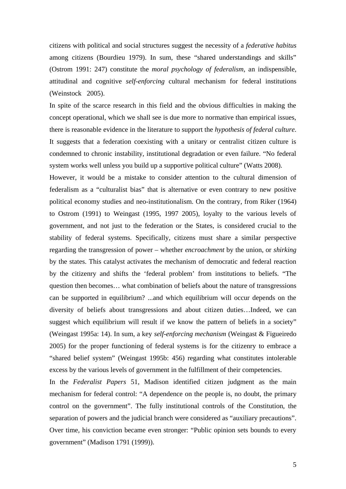citizens with political and social structures suggest the necessity of a *federative habitus*  among citizens (Bourdieu 1979). In sum, these "shared understandings and skills" (Ostrom 1991: 247) constitute the *moral psychology of federalism*, an indispensible, attitudinal and cognitive *self-enforcing* cultural mechanism for federal institutions (Weinstock 2005).

In spite of the scarce research in this field and the obvious difficulties in making the concept operational, which we shall see is due more to normative than empirical issues, there is reasonable evidence in the literature to support the *hypothesis of federal culture*. It suggests that a federation coexisting with a unitary or centralist citizen culture is condemned to chronic instability, institutional degradation or even failure. "No federal system works well unless you build up a supportive political culture" (Watts 2008).

However, it would be a mistake to consider attention to the cultural dimension of federalism as a "culturalist bias" that is alternative or even contrary to new positive political economy studies and neo-institutionalism. On the contrary, from Riker (1964) to Ostrom (1991) to Weingast (1995, 1997 2005), loyalty to the various levels of government, and not just to the federation or the States, is considered crucial to the stability of federal systems. Specifically, citizens must share a similar perspective regarding the transgression of power – whether *encroachment* by the union, or *shirking*  by the states. This catalyst activates the mechanism of democratic and federal reaction by the citizenry and shifts the 'federal problem' from institutions to beliefs. "The question then becomes… what combination of beliefs about the nature of transgressions can be supported in equilibrium? ...and which equilibrium will occur depends on the diversity of beliefs about transgressions and about citizen duties…Indeed, we can suggest which equilibrium will result if we know the pattern of beliefs in a society" (Weingast 1995a: 14). In sum, a key *self-enforcing mechanism* (Weingast & Figueiredo 2005) for the proper functioning of federal systems is for the citizenry to embrace a "shared belief system" (Weingast 1995b: 456) regarding what constitutes intolerable excess by the various levels of government in the fulfillment of their competencies.

In the *Federalist Papers* 51, Madison identified citizen judgment as the main mechanism for federal control: "A dependence on the people is, no doubt, the primary control on the government". The fully institutional controls of the Constitution, the separation of powers and the judicial branch were considered as "auxiliary precautions". Over time, his conviction became even stronger: "Public opinion sets bounds to every government" (Madison 1791 (1999)).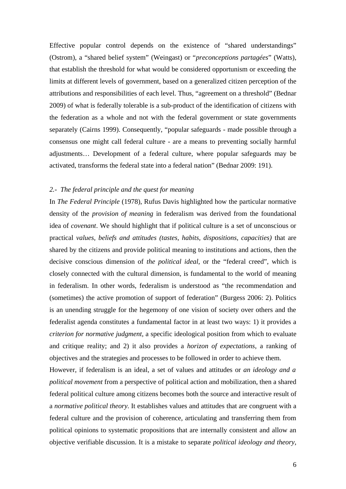Effective popular control depends on the existence of "shared understandings" (Ostrom), a "shared belief system" (Weingast) or "*preconceptions partagées*" (Watts), that establish the threshold for what would be considered opportunism or exceeding the limits at different levels of government, based on a generalized citizen perception of the attributions and responsibilities of each level. Thus, "agreement on a threshold" (Bednar 2009) of what is federally tolerable is a sub-product of the identification of citizens with the federation as a whole and not with the federal government or state governments separately (Cairns 1999). Consequently, "popular safeguards - made possible through a consensus one might call federal culture - are a means to preventing socially harmful adjustments… Development of a federal culture, where popular safeguards may be activated, transforms the federal state into a federal nation" (Bednar 2009: 191).

## *2.- The federal principle and the quest for meaning*

In *The Federal Principle* (1978), Rufus Davis highlighted how the particular normative density of the *provision of meaning* in federalism was derived from the foundational idea of *covenant*. We should highlight that if political culture is a set of unconscious or practical *values, beliefs and attitudes (tastes, habits, dispositions, capacities)* that are shared by the citizens and provide political meaning to institutions and actions, then the decisive conscious dimension of *the political ideal*, or the "federal creed", which is closely connected with the cultural dimension, is fundamental to the world of meaning in federalism. In other words, federalism is understood as "the recommendation and (sometimes) the active promotion of support of federation" (Burgess 2006: 2). Politics is an unending struggle for the hegemony of one vision of society over others and the federalist agenda constitutes a fundamental factor in at least two ways: 1) it provides a *criterion for normative judgment*, a specific ideological position from which to evaluate and critique reality; and 2) it also provides a *horizon of expectations*, a ranking of objectives and the strategies and processes to be followed in order to achieve them.

However, if federalism is an ideal, a set of values and attitudes or *an ideology and a political movement* from a perspective of political action and mobilization, then a shared federal political culture among citizens becomes both the source and interactive result of a *normative political theory*. It establishes values and attitudes that are congruent with a federal culture and the provision of coherence, articulating and transferring them from political opinions to systematic propositions that are internally consistent and allow an objective verifiable discussion. It is a mistake to separate *political ideology and theory*,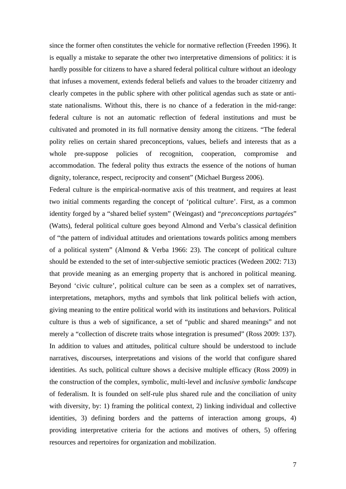since the former often constitutes the vehicle for normative reflection (Freeden 1996). It is equally a mistake to separate the other two interpretative dimensions of politics: it is hardly possible for citizens to have a shared federal political culture without an ideology that infuses a movement, extends federal beliefs and values to the broader citizenry and clearly competes in the public sphere with other political agendas such as state or antistate nationalisms. Without this, there is no chance of a federation in the mid-range: federal culture is not an automatic reflection of federal institutions and must be cultivated and promoted in its full normative density among the citizens. "The federal polity relies on certain shared preconceptions, values, beliefs and interests that as a whole pre-suppose policies of recognition, cooperation, compromise and accommodation. The federal polity thus extracts the essence of the notions of human dignity, tolerance, respect, reciprocity and consent" (Michael Burgess 2006).

Federal culture is the empirical-normative axis of this treatment, and requires at least two initial comments regarding the concept of 'political culture'. First, as a common identity forged by a "shared belief system" (Weingast) and "*preconceptions partagées*" (Watts), federal political culture goes beyond Almond and Verba's classical definition of "the pattern of individual attitudes and orientations towards politics among members of a political system" (Almond & Verba 1966: 23). The concept of political culture should be extended to the set of inter-subjective semiotic practices (Wedeen 2002: 713) that provide meaning as an emerging property that is anchored in political meaning. Beyond 'civic culture', political culture can be seen as a complex set of narratives, interpretations, metaphors, myths and symbols that link political beliefs with action, giving meaning to the entire political world with its institutions and behaviors. Political culture is thus a web of significance, a set of "public and shared meanings" and not merely a "collection of discrete traits whose integration is presumed" (Ross 2009: 137). In addition to values and attitudes, political culture should be understood to include narratives, discourses, interpretations and visions of the world that configure shared identities. As such, political culture shows a decisive multiple efficacy (Ross 2009) in the construction of the complex, symbolic, multi-level and *inclusive symbolic landscape*  of federalism. It is founded on self-rule plus shared rule and the conciliation of unity with diversity, by: 1) framing the political context, 2) linking individual and collective identities, 3) defining borders and the patterns of interaction among groups, 4) providing interpretative criteria for the actions and motives of others, 5) offering resources and repertoires for organization and mobilization.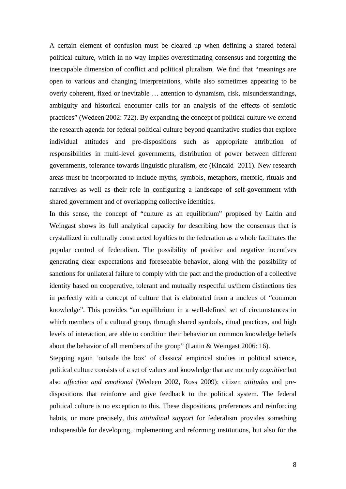A certain element of confusion must be cleared up when defining a shared federal political culture, which in no way implies overestimating consensus and forgetting the inescapable dimension of conflict and political pluralism. We find that "meanings are open to various and changing interpretations, while also sometimes appearing to be overly coherent, fixed or inevitable … attention to dynamism, risk, misunderstandings, ambiguity and historical encounter calls for an analysis of the effects of semiotic practices" (Wedeen 2002: 722). By expanding the concept of political culture we extend the research agenda for federal political culture beyond quantitative studies that explore individual attitudes and pre-dispositions such as appropriate attribution of responsibilities in multi-level governments, distribution of power between different governments, tolerance towards linguistic pluralism, etc (Kincaid 2011). New research areas must be incorporated to include myths, symbols, metaphors, rhetoric, rituals and narratives as well as their role in configuring a landscape of self-government with shared government and of overlapping collective identities.

In this sense, the concept of "culture as an equilibrium" proposed by Laitin and Weingast shows its full analytical capacity for describing how the consensus that is crystallized in culturally constructed loyalties to the federation as a whole facilitates the popular control of federalism. The possibility of positive and negative incentives generating clear expectations and foreseeable behavior, along with the possibility of sanctions for unilateral failure to comply with the pact and the production of a collective identity based on cooperative, tolerant and mutually respectful us/them distinctions ties in perfectly with a concept of culture that is elaborated from a nucleus of "common knowledge". This provides "an equilibrium in a well-defined set of circumstances in which members of a cultural group, through shared symbols, ritual practices, and high levels of interaction, are able to condition their behavior on common knowledge beliefs about the behavior of all members of the group" (Laitin & Weingast 2006: 16).

Stepping again 'outside the box' of classical empirical studies in political science, political culture consists of a set of values and knowledge that are not only *cognitive* but also *affective and emotional* (Wedeen 2002, Ross 2009): citizen *attitudes* and predispositions that reinforce and give feedback to the political system. The federal political culture is no exception to this. These dispositions, preferences and reinforcing habits, or more precisely, this *attitudinal support* for federalism provides something indispensible for developing, implementing and reforming institutions, but also for the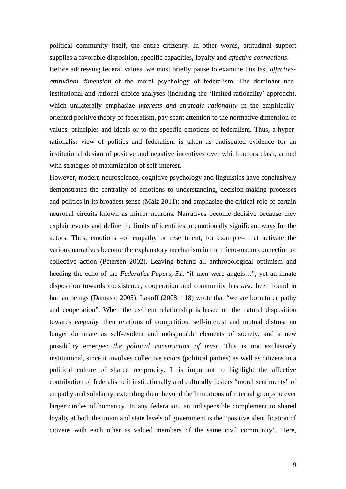political community itself, the entire citizenry. In other words, attitudinal support supplies a favorable disposition, specific capacities, loyalty and *affective connections*. Before addressing federal values, we must briefly pause to examine this last *affectiveattitudinal dimension* of the moral psychology of federalism. The dominant neoinstitutional and rational choice analyses (including the 'limited rationality' approach), which unilaterally emphasize *interests and strategic rationality* in the empiricallyoriented positive theory of federalism, pay scant attention to the normative dimension of values, principles and ideals or to the specific emotions of federalism. Thus, a hyperrationalist view of politics and federalism is taken as undisputed evidence for an institutional design of positive and negative incentives over which actors clash, armed with strategies of maximization of self-interest.

However, modern neuroscience, cognitive psychology and linguistics have conclusively demonstrated the centrality of emotions to understanding, decision-making processes and politics in its broadest sense (Máiz 2011); and emphasize the critical role of certain neuronal circuits known as mirror neurons. Narratives become decisive because they explain events and define the limits of identities in emotionally significant ways for the actors. Thus, emotions –of empathy or resentment, for example– that activate the various narratives become the explanatory mechanism in the micro-macro connection of collective action (Petersen 2002). Leaving behind all anthropological optimism and heeding the echo of the *Federalist Papers, 51*, "if men were angels…", yet an innate disposition towards coexistence, cooperation and community has *also* been found in human beings (Damasio 2005). Lakoff (2008: 118) wrote that "we are born to empathy and cooperation". When the us/them relationship is based on the natural disposition towards *empathy*, then relations of competition, self-interest and mutual distrust no longer dominate as self-evident and indisputable elements of society, and a new possibility emerges: *the political construction of trust*. This is not exclusively institutional, since it involves collective actors (political parties) as well as citizens in a political culture of shared reciprocity. It is important to highlight the affective contribution of federalism: it institutionally and culturally fosters "moral sentiments" of empathy and solidarity, extending them beyond the limitations of internal groups to ever larger circles of humanity. In any federation, an indispensible complement to shared loyalty at both the union and state levels of government is the "positive identification of citizens with each other as valued members of the same civil community". Here,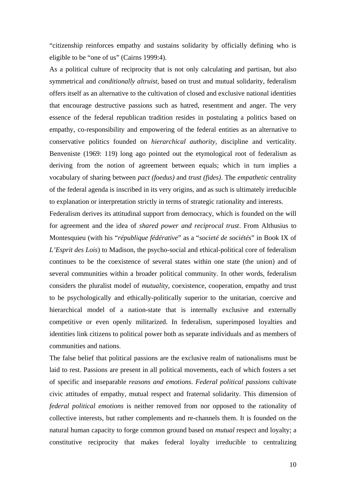"citizenship reinforces empathy and sustains solidarity by officially defining who is eligible to be "one of us" (Cairns 1999:4).

As a political culture of reciprocity that is not only calculating and partisan, but also symmetrical and *conditionally altruist*, based on trust and mutual solidarity, federalism offers itself as an alternative to the cultivation of closed and exclusive national identities that encourage destructive passions such as hatred, resentment and anger. The very essence of the federal republican tradition resides in postulating a politics based on empathy, co-responsibility and empowering of the federal entities as an alternative to conservative politics founded on *hierarchical authority*, discipline and verticality. Benveniste (1969: 119) long ago pointed out the etymological root of federalism as deriving from the notion of agreement between equals; which in turn implies a vocabulary of sharing between *pact (foedus)* and *trust (fides)*. The *empathetic* centrality of the federal agenda is inscribed in its very origins, and as such is ultimately irreducible to explanation or interpretation strictly in terms of strategic rationality and interests.

Federalism derives its attitudinal support from democracy, which is founded on the will for agreement and the idea of *shared power and reciprocal trust*. From Althusius to Montesquieu (with his "*république fédérative*" as a "*societé de sociétés*" in Book IX of *L'Esprit des Lois*) to Madison, the psycho-social and ethical-political core of federalism continues to be the coexistence of several states within one state (the union) and of several communities within a broader political community. In other words, federalism considers the pluralist model of *mutuality*, coexistence, cooperation, empathy and trust to be psychologically and ethically-politically superior to the unitarian, coercive and hierarchical model of a nation-state that is internally exclusive and externally competitive or even openly militarized. In federalism, superimposed loyalties and identities link citizens to political power both as separate individuals and as members of communities and nations.

The false belief that political passions are the exclusive realm of nationalisms must be laid to rest. Passions are present in all political movements, each of which fosters a set of specific and inseparable *reasons and emotions*. *Federal political passions* cultivate civic attitudes of empathy, mutual respect and fraternal solidarity. This dimension of *federal political emotions* is neither removed from nor opposed to the rationality of collective interests, but rather complements and re-channels them. It is founded on the natural human capacity to forge common ground based on *mutual* respect and loyalty; a constitutive reciprocity that makes federal loyalty irreducible to centralizing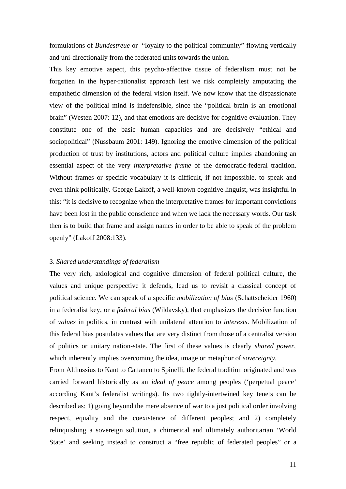formulations of *Bundestreue* or "loyalty to the political community" flowing vertically and uni-directionally from the federated units towards the union.

This key emotive aspect, this psycho-affective tissue of federalism must not be forgotten in the hyper-rationalist approach lest we risk completely amputating the empathetic dimension of the federal vision itself. We now know that the dispassionate view of the political mind is indefensible, since the "political brain is an emotional brain" (Westen 2007: 12), and that emotions are decisive for cognitive evaluation. They constitute one of the basic human capacities and are decisively "ethical and sociopolitical" (Nussbaum 2001: 149). Ignoring the emotive dimension of the political production of trust by institutions, actors and political culture implies abandoning an essential aspect of the very *interpretative frame* of the democratic-federal tradition. Without frames or specific vocabulary it is difficult, if not impossible, to speak and even think politically. George Lakoff, a well-known cognitive linguist, was insightful in this: "it is decisive to recognize when the interpretative frames for important convictions have been lost in the public conscience and when we lack the necessary words. Our task then is to build that frame and assign names in order to be able to speak of the problem openly" (Lakoff 2008:133).

#### 3. *Shared understandings of federalism*

The very rich, axiological and cognitive dimension of federal political culture, the values and unique perspective it defends, lead us to revisit a classical concept of political science. We can speak of a specific *mobilization of bias* (Schattscheider 1960) in a federalist key, or a *federal bias* (Wildavsky), that emphasizes the decisive function of *values* in politics, in contrast with unilateral attention to *interests*. Mobilization of this federal bias postulates values that are very distinct from those of a centralist version of politics or unitary nation-state. The first of these values is clearly *shared power,*  which inherently implies overcoming the idea, image or metaphor of *sovereignty*.

From Althussius to Kant to Cattaneo to Spinelli, the federal tradition originated and was carried forward historically as an *ideal of peace* among peoples ('perpetual peace' according Kant's federalist writings). Its two tightly-intertwined key tenets can be described as: 1) going beyond the mere absence of war to a just political order involving respect, equality and the coexistence of different peoples; and 2) completely relinquishing a sovereign solution, a chimerical and ultimately authoritarian 'World State' and seeking instead to construct a "free republic of federated peoples" or a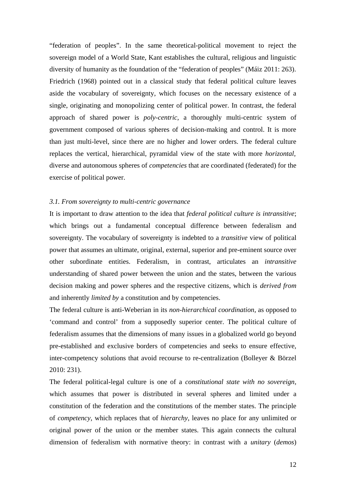"federation of peoples". In the same theoretical-political movement to reject the sovereign model of a World State, Kant establishes the cultural, religious and linguistic diversity of humanity as the foundation of the "federation of peoples" (Máiz 2011: 263). Friedrich (1968) pointed out in a classical study that federal political culture leaves aside the vocabulary of sovereignty, which focuses on the necessary existence of a single, originating and monopolizing center of political power. In contrast, the federal approach of shared power is *poly-centric*, a thoroughly multi-centric system of government composed of various spheres of decision-making and control. It is more than just multi-level, since there are no higher and lower orders. The federal culture replaces the vertical, hierarchical, pyramidal view of the state with more *horizontal,*  diverse and autonomous spheres of *competencies* that are coordinated (federated) for the exercise of political power.

### *3.1. From sovereignty to multi-centric governance*

It is important to draw attention to the idea that *federal political culture is intransitive*; which brings out a fundamental conceptual difference between federalism and sovereignty. The vocabulary of sovereignty is indebted to a *transitive* view of political power that assumes an ultimate, original, external, superior and pre-eminent source over other subordinate entities. Federalism, in contrast, articulates an *intransitive*  understanding of shared power between the union and the states, between the various decision making and power spheres and the respective citizens, which is *derived from*  and inherently *limited by* a constitution and by competencies.

The federal culture is anti-Weberian in its *non-hierarchical coordination*, as opposed to 'command and control' from a supposedly superior center. The political culture of federalism assumes that the dimensions of many issues in a globalized world go beyond pre-established and exclusive borders of competencies and seeks to ensure effective, inter-competency solutions that avoid recourse to re-centralization (Bolleyer & Börzel 2010: 231).

The federal political-legal culture is one of a *constitutional state with no sovereign*, which assumes that power is distributed in several spheres and limited under a constitution of the federation and the constitutions of the member states. The principle of *competency*, which replaces that of *hierarchy*, leaves no place for any unlimited or original power of the union or the member states. This again connects the cultural dimension of federalism with normative theory: in contrast with a *unitary* (*demos*)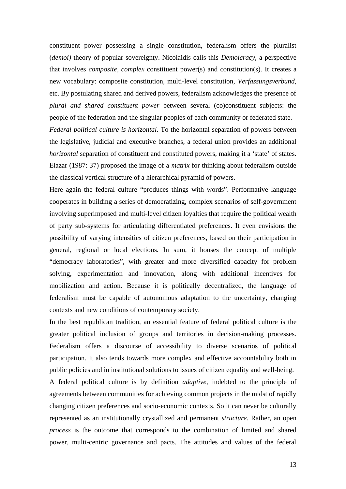constituent power possessing a single constitution, federalism offers the pluralist (*demoi)* theory of popular sovereignty. Nicolaidis calls this *Demoicracy*, a perspective that involves *composite, complex* constituent power(s) and constitution(s). It creates a new vocabulary: composite constitution, multi-level constitution, *Verfassungsverbund*, etc. By postulating shared and derived powers, federalism acknowledges the presence of *plural and shared constituent power* between several (co)constituent subjects: the people of the federation and the singular peoples of each community or federated state. *Federal political culture is horizontal.* To the horizontal separation of powers between the legislative, judicial and executive branches, a federal union provides an additional *horizontal* separation of constituent and constituted powers, making it a 'state' of states. Elazar (1987: 37) proposed the image of a *matrix* for thinking about federalism outside

the classical vertical structure of a hierarchical pyramid of powers.

Here again the federal culture "produces things with words". Performative language cooperates in building a series of democratizing, complex scenarios of self-government involving superimposed and multi-level citizen loyalties that require the political wealth of party sub-systems for articulating differentiated preferences. It even envisions the possibility of varying intensities of citizen preferences, based on their participation in general, regional or local elections. In sum, it houses the concept of multiple "democracy laboratories", with greater and more diversified capacity for problem solving, experimentation and innovation, along with additional incentives for mobilization and action. Because it is politically decentralized, the language of federalism must be capable of autonomous adaptation to the uncertainty, changing contexts and new conditions of contemporary society.

In the best republican tradition, an essential feature of federal political culture is the greater political inclusion of groups and territories in decision-making processes. Federalism offers a discourse of accessibility to diverse scenarios of political participation. It also tends towards more complex and effective accountability both in public policies and in institutional solutions to issues of citizen equality and well-being.

A federal political culture is by definition *adaptive*, indebted to the principle of agreements between communities for achieving common projects in the midst of rapidly changing citizen preferences and socio-economic contexts. So it can never be culturally represented as an institutionally crystallized and permanent *structure*. Rather, an open *process* is the outcome that corresponds to the combination of limited and shared power, multi-centric governance and pacts. The attitudes and values of the federal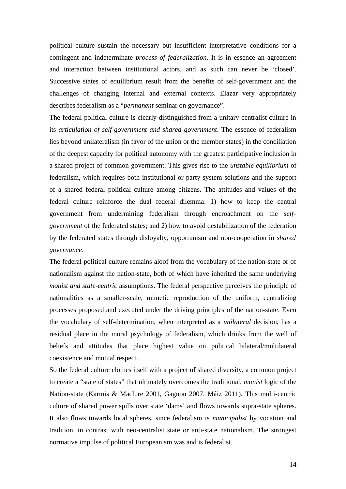political culture sustain the necessary but insufficient interpretative conditions for a contingent and indeterminate *process of federalization*. It is in essence an agreement and interaction between institutional actors, and as such can never be 'closed'. Successive states of equilibrium result from the benefits of self-government and the challenges of changing internal and external contexts. Elazar very appropriately describes federalism as a "*permanent* seminar on governance".

The federal political culture is clearly distinguished from a unitary centralist culture in its *articulation of self-government and shared government*. The essence of federalism lies beyond unilateralism (in favor of the union or the member states) in the conciliation of the deepest capacity for political autonomy with the greatest participative inclusion in a shared project of common government. This gives rise to the *unstable equilibrium* of federalism, which requires both institutional or party-system solutions and the support of a shared federal political culture among citizens. The attitudes and values of the federal culture reinforce the dual federal dilemma: 1) how to keep the central government from undermining federalism through encroachment on the *selfgovernment* of the federated states; and 2) how to avoid destabilization of the federation by the federated states through disloyalty, opportunism and non-cooperation in *shared governance*.

The federal political culture remains aloof from the vocabulary of the nation-state or of nationalism against the nation-state, both of which have inherited the same underlying *monist and state-centric* assumptions. The federal perspective perceives the principle of nationalities as a smaller-scale, mimetic reproduction of the uniform, centralizing processes proposed and executed under the driving principles of the nation-state. Even the vocabulary of self-determination, when interpreted as a *unilateral* decision, has a residual place in the moral psychology of federalism, which drinks from the well of beliefs and attitudes that place highest value on political bilateral/multilateral coexistence and mutual respect.

So the federal culture clothes itself with a project of shared diversity, a common project to create a "state of states" that ultimately overcomes the traditional, *monist* logic of the Nation-state (Karmis & Maclure 2001, Gagnon 2007, Máiz 2011). This multi-centric culture of shared power spills over state 'dams' and flows towards supra-state spheres. It also flows towards local spheres, since federalism is *municipalist* by vocation and tradition, in contrast with neo-centralist state or anti-state nationalism. The strongest normative impulse of political Europeanism was and is federalist.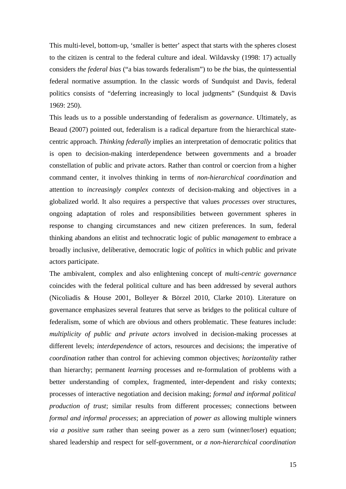This multi-level, bottom-up, 'smaller is better' aspect that starts with the spheres closest to the citizen is central to the federal culture and ideal. Wildavsky (1998: 17) actually considers *the federal bias* ("a bias towards federalism") to be *the* bias, the quintessential federal normative assumption. In the classic words of Sundquist and Davis, federal politics consists of "deferring increasingly to local judgments" (Sundquist & Davis 1969: 250).

This leads us to a possible understanding of federalism as *governance*. Ultimately, as Beaud (2007) pointed out, federalism is a radical departure from the hierarchical statecentric approach. *Thinking federally* implies an interpretation of democratic politics that is open to decision-making interdependence between governments and a broader constellation of public and private actors. Rather than control or coercion from a higher command center, it involves thinking in terms of *non-hierarchical coordination* and attention to *increasingly complex contexts* of decision-making and objectives in a globalized world. It also requires a perspective that values *processes* over structures, ongoing adaptation of roles and responsibilities between government spheres in response to changing circumstances and new citizen preferences. In sum, federal thinking abandons an elitist and technocratic logic of public *management* to embrace a broadly inclusive, deliberative, democratic logic of *politics* in which public and private actors participate.

The ambivalent, complex and also enlightening concept of *multi-centric governance*  coincides with the federal political culture and has been addressed by several authors (Nicoliadis & House 2001, Bolleyer & Börzel 2010, Clarke 2010). Literature on governance emphasizes several features that serve as bridges to the political culture of federalism, some of which are obvious and others problematic. These features include: *multiplicity of public and private actors* involved in decision-making processes at different levels; *interdependence* of actors, resources and decisions; the imperative of *coordination* rather than control for achieving common objectives; *horizontality* rather than hierarchy; permanent *learning* processes and re-formulation of problems with a better understanding of complex, fragmented, inter-dependent and risky contexts; processes of interactive negotiation and decision making; *formal and informal political production of trust*; similar results from different processes; connections between *formal and informal processes*; an appreciation of *power as* allowing multiple winners *via a positive sum* rather than seeing power as a zero sum (winner/loser) equation; shared leadership and respect for self-government, or *a non-hierarchical coordination*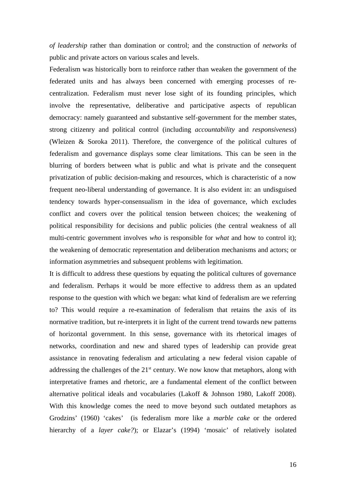*of leadership* rather than domination or control; and the construction of *networks* of public and private actors on various scales and levels.

Federalism was historically born to reinforce rather than weaken the government of the federated units and has always been concerned with emerging processes of recentralization. Federalism must never lose sight of its founding principles, which involve the representative, deliberative and participative aspects of republican democracy: namely guaranteed and substantive self-government for the member states, strong citizenry and political control (including *accountability* and *responsiveness*) (Wleizen & Soroka 2011). Therefore, the convergence of the political cultures of federalism and governance displays some clear limitations. This can be seen in the blurring of borders between what is public and what is private and the consequent privatization of public decision-making and resources, which is characteristic of a now frequent neo-liberal understanding of governance. It is also evident in: an undisguised tendency towards hyper-consensualism in the idea of governance, which excludes conflict and covers over the political tension between choices; the weakening of political responsibility for decisions and public policies (the central weakness of all multi-centric government involves *who* is responsible for *what* and how to control it); the weakening of democratic representation and deliberation mechanisms and actors; or information asymmetries and subsequent problems with legitimation.

It is difficult to address these questions by equating the political cultures of governance and federalism. Perhaps it would be more effective to address them as an updated response to the question with which we began: what kind of federalism are we referring to? This would require a re-examination of federalism that retains the axis of its normative tradition, but re-interprets it in light of the current trend towards new patterns of horizontal government. In this sense, governance with its rhetorical images of networks, coordination and new and shared types of leadership can provide great assistance in renovating federalism and articulating a new federal vision capable of addressing the challenges of the  $21<sup>st</sup>$  century. We now know that metaphors, along with interpretative frames and rhetoric, are a fundamental element of the conflict between alternative political ideals and vocabularies (Lakoff & Johnson 1980, Lakoff 2008). With this knowledge comes the need to move beyond such outdated metaphors as Grodzins' (1960) 'cakes' (is federalism more like a *marble cake* or the ordered hierarchy of a *layer cake?*); or Elazar's (1994) 'mosaic' of relatively isolated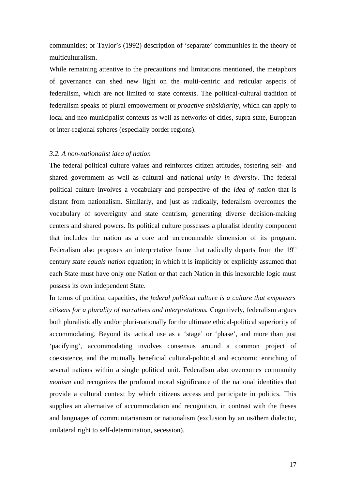communities; or Taylor's (1992) description of 'separate' communities in the theory of multiculturalism.

While remaining attentive to the precautions and limitations mentioned, the metaphors of governance can shed new light on the multi-centric and reticular aspects of federalism, which are not limited to state contexts. The political-cultural tradition of federalism speaks of plural empowerment or *proactive subsidiarity*, which can apply to local and neo-municipalist contexts as well as networks of cities, supra-state, European or inter-regional spheres (especially border regions).

## *3.2. A non-nationalist idea of nation*

The federal political culture values and reinforces citizen attitudes, fostering self- and shared government as well as cultural and national *unity in diversity*. The federal political culture involves a vocabulary and perspective of the *idea of nation* that is distant from nationalism. Similarly, and just as radically, federalism overcomes the vocabulary of sovereignty and state centrism, generating diverse decision-making centers and shared powers. Its political culture possesses a pluralist identity component that includes the nation as a core and unrenouncable dimension of its program. Federalism also proposes an interpretative frame that radically departs from the  $19<sup>th</sup>$ century *state equals nation* equation; in which it is implicitly or explicitly assumed that each State must have only one Nation or that each Nation in this inexorable logic must possess its own independent State.

In terms of political capacities, *the federal political culture is a culture that empowers citizens for a plurality of narratives and interpretations.* Cognitively, federalism argues both pluralistically and/or pluri-nationally for the ultimate ethical-political superiority of accommodating. Beyond its tactical use as a 'stage' or 'phase', and more than just 'pacifying', accommodating involves consensus around a common project of coexistence, and the mutually beneficial cultural-political and economic enriching of several nations within a single political unit. Federalism also overcomes community *monism* and recognizes the profound moral significance of the national identities that provide a cultural context by which citizens access and participate in politics. This supplies an alternative of accommodation and recognition, in contrast with the theses and languages of communitarianism or nationalism (exclusion by an us/them dialectic, unilateral right to self-determination, secession).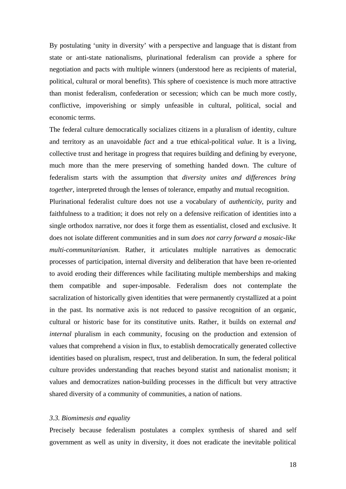By postulating 'unity in diversity' with a perspective and language that is distant from state or anti-state nationalisms, plurinational federalism can provide a sphere for negotiation and pacts with multiple winners (understood here as recipients of material, political, cultural or moral benefits). This sphere of coexistence is much more attractive than monist federalism, confederation or secession; which can be much more costly, conflictive, impoverishing or simply unfeasible in cultural, political, social and economic terms.

The federal culture democratically socializes citizens in a pluralism of identity, culture and territory as an unavoidable *fact* and a true ethical-political *value*. It is a living, collective trust and heritage in progress that requires building and defining by everyone, much more than the mere preserving of something handed down. The culture of federalism starts with the assumption that *diversity unites and differences bring together*, interpreted through the lenses of tolerance, empathy and mutual recognition. Plurinational federalist culture does not use a vocabulary of *authenticity*, purity and faithfulness to a tradition; it does not rely on a defensive reification of identities into a single orthodox narrative, nor does it forge them as essentialist, closed and exclusive. It does not isolate different communities and in sum *does not carry forward a mosaic-like multi-communitarianism.* Rather, it articulates multiple narratives as democratic processes of participation, internal diversity and deliberation that have been re-oriented to avoid eroding their differences while facilitating multiple memberships and making them compatible and super-imposable. Federalism does not contemplate the sacralization of historically given identities that were permanently crystallized at a point in the past. Its normative axis is not reduced to passive recognition of an organic, cultural or historic base for its constitutive units. Rather, it builds on external *and internal* pluralism in each community, focusing on the production and extension of values that comprehend a vision in flux, to establish democratically generated collective identities based on pluralism, respect, trust and deliberation. In sum, the federal political culture provides understanding that reaches beyond statist and nationalist monism; it values and democratizes nation-building processes in the difficult but very attractive shared diversity of a community of communities, a nation of nations.

## *3.3. Biomimesis and equality*

Precisely because federalism postulates a complex synthesis of shared and self government as well as unity in diversity, it does not eradicate the inevitable political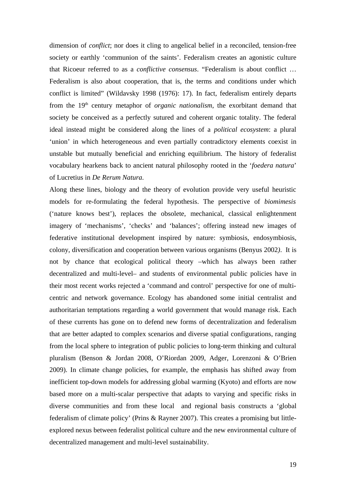dimension of *conflict*; nor does it cling to angelical belief in a reconciled, tension-free society or earthly 'communion of the saints'. Federalism creates an agonistic culture that Ricoeur referred to as a *conflictive consensus*. "Federalism is about conflict … Federalism is also about cooperation, that is, the terms and conditions under which conflict is limited" (Wildavsky 1998 (1976): 17). In fact, federalism entirely departs from the 19<sup>th</sup> century metaphor of *organic nationalism*, the exorbitant demand that society be conceived as a perfectly sutured and coherent organic totality. The federal ideal instead might be considered along the lines of a *political ecosystem*: a plural 'union' in which heterogeneous and even partially contradictory elements coexist in unstable but mutually beneficial and enriching equilibrium. The history of federalist vocabulary hearkens back to ancient natural philosophy rooted in the '*foedera natura*' of Lucretius in *De Rerum Natura*.

Along these lines, biology and the theory of evolution provide very useful heuristic models for re-formulating the federal hypothesis. The perspective of *biomimesis*  ('nature knows best'), replaces the obsolete, mechanical, classical enlightenment imagery of 'mechanisms', 'checks' and 'balances'; offering instead new images of federative institutional development inspired by nature: symbiosis, endosymbiosis, colony, diversification and cooperation between various organisms (Benyus 2002*)*. It is not by chance that ecological political theory –which has always been rather decentralized and multi-level– and students of environmental public policies have in their most recent works rejected a 'command and control' perspective for one of multicentric and network governance. Ecology has abandoned some initial centralist and authoritarian temptations regarding a world government that would manage risk. Each of these currents has gone on to defend new forms of decentralization and federalism that are better adapted to complex scenarios and diverse spatial configurations, ranging from the local sphere to integration of public policies to long-term thinking and cultural pluralism (Benson & Jordan 2008, O'Riordan 2009, Adger, Lorenzoni & O'Brien 2009). In climate change policies, for example, the emphasis has shifted away from inefficient top-down models for addressing global warming (Kyoto) and efforts are now based more on a multi-scalar perspective that adapts to varying and specific risks in diverse communities and from these local and regional basis constructs a 'global federalism of climate policy' (Prins & Rayner 2007). This creates a promising but littleexplored nexus between federalist political culture and the new environmental culture of decentralized management and multi-level sustainability.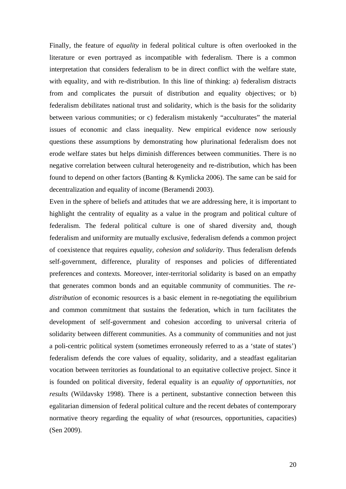Finally, the feature of *equality* in federal political culture is often overlooked in the literature or even portrayed as incompatible with federalism. There is a common interpretation that considers federalism to be in direct conflict with the welfare state, with equality, and with re-distribution. In this line of thinking: a) federalism distracts from and complicates the pursuit of distribution and equality objectives; or b) federalism debilitates national trust and solidarity, which is the basis for the solidarity between various communities; or c) federalism mistakenly "acculturates" the material issues of economic and class inequality. New empirical evidence now seriously questions these assumptions by demonstrating how plurinational federalism does not erode welfare states but helps diminish differences between communities. There is no negative correlation between cultural heterogeneity and re-distribution, which has been found to depend on other factors (Banting & Kymlicka 2006). The same can be said for decentralization and equality of income (Beramendi 2003).

Even in the sphere of beliefs and attitudes that we are addressing here, it is important to highlight the centrality of equality as a value in the program and political culture of federalism. The federal political culture is one of shared diversity and, though federalism and uniformity are mutually exclusive, federalism defends a common project of coexistence that requires *equality, cohesion and solidarity*. Thus federalism defends self-government, difference, plurality of responses and policies of differentiated preferences and contexts. Moreover, inter-territorial solidarity is based on an empathy that generates common bonds and an equitable community of communities. The *redistribution* of economic resources is a basic element in re-negotiating the equilibrium and common commitment that sustains the federation, which in turn facilitates the development of self-government and cohesion according to universal criteria of solidarity between different communities. As a community of communities and not just a poli-centric political system (sometimes erroneously referred to as a 'state of states') federalism defends the core values of equality, solidarity, and a steadfast egalitarian vocation between territories as foundational to an equitative collective project. Since it is founded on political diversity, federal equality is an *equality of opportunities, not results* (Wildavsky 1998). There is a pertinent, substantive connection between this egalitarian dimension of federal political culture and the recent debates of contemporary normative theory regarding the equality of *what* (resources, opportunities, capacities) (Sen 2009).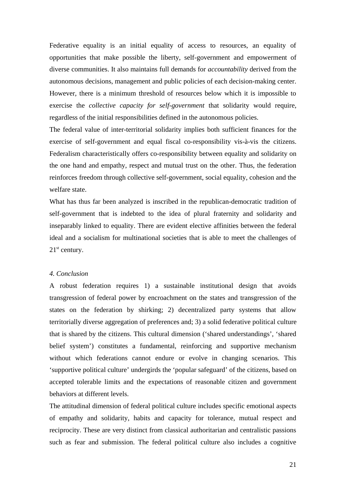Federative equality is an initial equality of access to resources, an equality of opportunities that make possible the liberty, self-government and empowerment of diverse communities. It also maintains full demands for *accountability* derived from the autonomous decisions, management and public policies of each decision-making center. However, there is a minimum threshold of resources below which it is impossible to exercise the *collective capacity for self-government* that solidarity would require, regardless of the initial responsibilities defined in the autonomous policies.

The federal value of inter-territorial solidarity implies both sufficient finances for the exercise of self-government and equal fiscal co-responsibility vis-à-vis the citizens. Federalism characteristically offers co-responsibility between equality and solidarity on the one hand and empathy, respect and mutual trust on the other. Thus, the federation reinforces freedom through collective self-government, social equality, cohesion and the welfare state.

What has thus far been analyzed is inscribed in the republican-democratic tradition of self-government that is indebted to the idea of plural fraternity and solidarity and inseparably linked to equality. There are evident elective affinities between the federal ideal and a socialism for multinational societies that is able to meet the challenges of  $21<sup>st</sup>$  century.

### *4. Conclusion*

A robust federation requires 1) a sustainable institutional design that avoids transgression of federal power by encroachment on the states and transgression of the states on the federation by shirking; 2) decentralized party systems that allow territorially diverse aggregation of preferences and; 3) a solid federative political culture that is shared by the citizens. This cultural dimension ('shared understandings', 'shared belief system') constitutes a fundamental, reinforcing and supportive mechanism without which federations cannot endure or evolve in changing scenarios. This 'supportive political culture' undergirds the 'popular safeguard' of the citizens, based on accepted tolerable limits and the expectations of reasonable citizen and government behaviors at different levels.

The attitudinal dimension of federal political culture includes specific emotional aspects of empathy and solidarity, habits and capacity for tolerance, mutual respect and reciprocity. These are very distinct from classical authoritarian and centralistic passions such as fear and submission. The federal political culture also includes a cognitive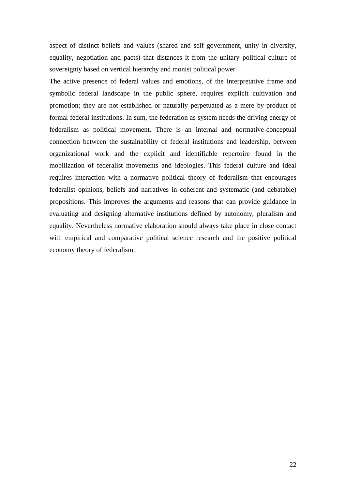aspect of distinct beliefs and values (shared and self government, unity in diversity, equality, negotiation and pacts) that distances it from the unitary political culture of sovereignty based on vertical hierarchy and monist political power.

The active presence of federal values and emotions, of the interpretative frame and symbolic federal landscape in the public sphere, requires explicit cultivation and promotion; they are not established or naturally perpetuated as a mere by-product of formal federal institutions. In sum, the federation as system needs the driving energy of federalism as political movement. There is an internal and normative-conceptual connection between the sustainability of federal institutions and leadership, between organizational work and the explicit and identifiable repertoire found in the mobilization of federalist movements and ideologies. This federal culture and ideal requires interaction with a normative political theory of federalism that encourages federalist opinions, beliefs and narratives in coherent and systematic (and debatable) propositions. This improves the arguments and reasons that can provide guidance in evaluating and designing alternative institutions defined by autonomy, pluralism and equality. Nevertheless normative elaboration should always take place in close contact with empirical and comparative political science research and the positive political economy theory of federalism.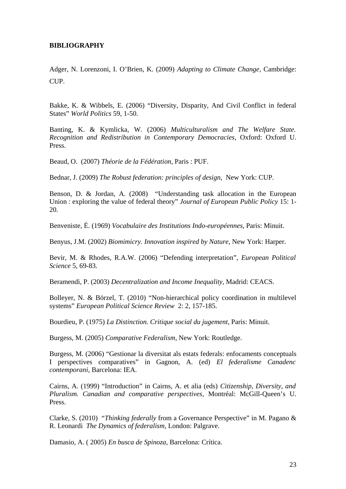## **BIBLIOGRAPHY**

Adger, N. Lorenzoni, I. O'Brien, K. (2009) *Adapting to Climate Change,* Cambridge:  $CIIP$ 

Bakke, K. & Wibbels, E. (2006) "Diversity, Disparity, And Civil Conflict in federal States" *World Politics* 59, 1-50.

Banting, K. & Kymlicka, W. (2006) *Multiculturalism and The Welfare State. Recognition and Redistribution in Contemporary Democracies*, Oxford: Oxford U. Press.

Beaud, O. (2007) *Théorie de la Fédération*, Paris : PUF.

Bednar, J. (2009) *The Robust federation: principles of design*, New York: CUP.

Benson, D. & Jordan, A. (2008) "Understanding task allocation in the European Union : exploring the value of federal theory" *Journal of European Public Policy* 15: 1- 20.

Benveniste, É. (1969) *Vocabulaire des Institutions Indo-européennes*, Paris: Minuit.

Benyus, J.M. (2002) *Biomimicry. Innovation inspired by Nature*, New York: Harper.

Bevir, M. & Rhodes, R.A.W. (2006) "Defending interpretation", *European Political Science* 5, 69-83.

Beramendi, P. (2003) *Decentralization and Income Inequality*, Madrid: CEACS.

Bolleyer, N. & Börzel, T. (2010) "Non-hierarchical policy coordination in multilevel systems" *European Political Science Review* 2: 2, 157-185.

Bourdieu, P. (1975) *La Distinction. Critique social du jugement*, Paris: Minuit.

Burgess, M. (2005) *Comparative Federalism*, New York: Routledge.

Burgess, M. (2006) "Gestionar la diversitat als estats federals: enfocaments conceptuals I perspectives comparatives" in Gagnon, A. (ed) *El federalisme Canadenc contemporani*, Barcelona: IEA.

Cairns, A. (1999) "Introduction" in Cairns, A. et alia (eds) *Citizenship, Diversity, and Pluralism. Canadian and comparative perspectives*, Montréal: McGill-Queen's U. Press.

Clarke, S. (2010) "*Thinking federally* from a Governance Perspective" in M. Pagano & R. Leonardi *The Dynamics of federalism*, London: Palgrave.

Damasio, A. ( 2005) *En busca de Spinoza*, Barcelona: Crítica.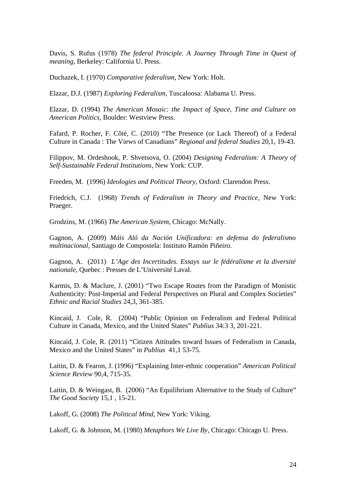Davis, S. Rufus (1978) *The federal Principle. A Journey Through Time in Quest of meaning*, Berkeley: California U. Press.

Duchazek, I. (1970) *Comparative federalism*, New York: Holt.

Elazar, D.J. (1987) *Exploring Federalism*, Tuscaloosa: Alabama U. Press.

Elazar, D. (1994) *The American Mosaic: the Impact of Space, Time and Culture on American Politics*, Boulder: Westview Press.

Fafard, P. Rocher, F. Côté, C. (2010) "The Presence (or Lack Thereof) of a Federal Culture in Canada : The Views of Canadians" *Regional and federal Studies* 20,1, 19-43.

Filippov, M. Ordeshook, P. Shvetsova, O. (2004) *Designing Federalism: A Theory of Self-Sustainable Federal Institutions*, New York: CUP.

Freeden, M. (1996) *Ideologies and Political Theory*, Oxford: Clarendon Press.

Friedrich, C.J. (1968) *Trends of Federalism in Theory and Practice*, New York: Praeger.

Grodzins, M. (1966) *The American System*, Chicago: McNally.

Gagnon, A. (2009) *Máis Aló da Nación Unificadora: en defensa do federalismo multinacional*, Santiago de Compostela: Instituto Ramón Piñeiro.

Gagnon, A. (2011) *L'Age des Incertitudes. Essays sur le fédéralisme et la diversité nationale*, Quebec : Presses de L'Université Laval.

Karmis, D. & Maclure, J. (2001) "Two Escape Routes from the Paradigm of Monistic Authenticity: Post-Imperial and Federal Perspectives on Plural and Complex Societies" *Ethnic and Racial Studies* 24,3, 361-385.

Kincaid, J. Cole, R. (2004) "Public Opinion on Federalism and Federal Political Culture in Canada, Mexico, and the United States" *Publius* 34:3 3, 201-221.

Kincaid, J. Cole, R. (2011) "Citizen Attitudes toward Issues of Federalism in Canada, Mexico and the United States" in *Publius* 41,1 53-75.

Laitin, D. & Fearon, J. (1996) "Explaining Inter-ethnic cooperation" *American Political Science Review* 90,4, 715-35.

Laitin, D. & Weingast, B. (2006) "An Equilibrium Alternative to the Study of Culture" *The Good Society* 15,1 , 15-21.

Lakoff, G. (2008) *The Political Mind*, New York: Viking.

Lakoff, G. & Johnson, M. (1980) *Metaphors We Live By*, Chicago: Chicago U. Press.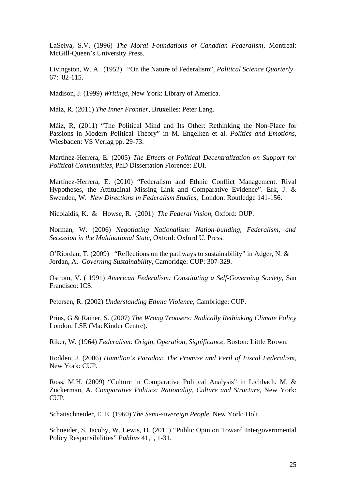LaSelva, S.V. (1996) *The Moral Foundations of Canadian Federalism*, Montreal: McGill-Queen's University Press.

Livingston, W. A. (1952) "On the Nature of Federalism", *Political Science Quarterly* 67: 82-115.

Madison, J. (1999) *Writings*, New York: Library of America.

Máiz, R. (2011) *The Inner Frontier*, Bruxelles: Peter Lang.

Máiz, R, (2011) "The Political Mind and Its Other: Rethinking the Non-Place for Passions in Modern Political Theory" in M. Engelken et al. *Politics and Emotions*, Wiesbaden: VS Verlag pp. 29-73.

Martínez-Herrera, E. (2005) *The Effects of Political Decentralization on Support for Political Communities*, PhD Dissertation Florence: EUI.

Martínez-Herrera, E. (2010) "Federalism and Ethnic Conflict Management. Rival Hypotheses, the Attitudinal Missing Link and Comparative Evidence". Erk, J. & Swenden, W. *New Directions in Federalism Studies*,London: Routledge 141-156.

Nicolaidis, K. & Howse, R. (2001) *The Federal Vision*, Oxford: OUP.

Norman, W. (2006) *Negotiating Nationalism: Nation-building, Federalism, and Secession in the Multinational State*, Oxford: Oxford U. Press.

O'Riordan, T. (2009) "Reflections on the pathways to sustainability" in Adger, N. & Jordan, A. *Governing Sustainability*, Cambridge: CUP: 307-329.

Ostrom, V. ( 1991) *American Federalism: Constituting a Self-Governing Society*, San Francisco: ICS.

Petersen, R. (2002) *Understanding Ethnic Violence*, Cambridge: CUP.

Prins, G & Rainer, S. (2007) *The Wrong Trousers: Radically Rethinking Climate Policy*  London: LSE (MacKinder Centre).

Riker, W. (1964) *Federalism: Origin, Operation, Significance,* Boston: Little Brown.

Rodden, J. (2006) *Hamilton's Paradox: The Promise and Peril of Fiscal Federalism*, New York: CUP.

Ross, M.H. (2009) "Culture in Comparative Political Analysis" in Lichbach. M. & Zuckerman, A. *Comparative Politics: Rationality, Culture and Structure*, New York:  $CIIP$ 

Schattschneider, E. E. (1960) *The Semi-sovereign People*, New York: Holt.

Schneider, S. Jacoby, W. Lewis, D. (2011) "Public Opinion Toward Intergovernmental Policy Responsibilities" *Publius* 41,1, 1-31.